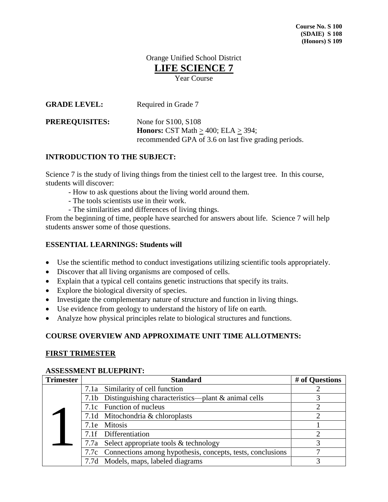Orange Unified School District

## **LIFE SCIENCE 7**

Year Course

| <b>GRADE LEVEL:</b>   | Required in Grade 7                                                                                                            |
|-----------------------|--------------------------------------------------------------------------------------------------------------------------------|
| <b>PREREQUISITES:</b> | None for S100, S108<br><b>Honors:</b> CST Math $> 400$ ; ELA $> 394$ ;<br>recommended GPA of 3.6 on last five grading periods. |

#### **INTRODUCTION TO THE SUBJECT:**

Science 7 is the study of living things from the tiniest cell to the largest tree. In this course, students will discover:

- How to ask questions about the living world around them.
- The tools scientists use in their work.
- The similarities and differences of living things.

From the beginning of time, people have searched for answers about life. Science 7 will help students answer some of those questions.

#### **ESSENTIAL LEARNINGS: Students will**

- Use the scientific method to conduct investigations utilizing scientific tools appropriately.
- Discover that all living organisms are composed of cells.
- Explain that a typical cell contains genetic instructions that specify its traits.
- Explore the biological diversity of species.
- Investigate the complementary nature of structure and function in living things.
- Use evidence from geology to understand the history of life on earth.
- Analyze how physical principles relate to biological structures and functions.

#### **COURSE OVERVIEW AND APPROXIMATE UNIT TIME ALLOTMENTS:**

#### **FIRST TRIMESTER**

#### **ASSESSMENT BLUEPRINT:**

| <b>Trimester</b> | <b>Standard</b> |                                                                 | # of Questions |
|------------------|-----------------|-----------------------------------------------------------------|----------------|
|                  |                 | 7.1a Similarity of cell function                                |                |
|                  |                 | 7.1b Distinguishing characteristics—plant & animal cells        |                |
|                  |                 | 7.1c Function of nucleus                                        |                |
|                  |                 | 7.1d Mitochondria & chloroplasts                                |                |
|                  | 7.1e Mitosis    |                                                                 |                |
|                  |                 | 7.1f Differentiation                                            |                |
|                  |                 | 7.7a Select appropriate tools & technology                      |                |
|                  |                 | 7.7c Connections among hypothesis, concepts, tests, conclusions |                |
|                  |                 | 7.7d Models, maps, labeled diagrams                             |                |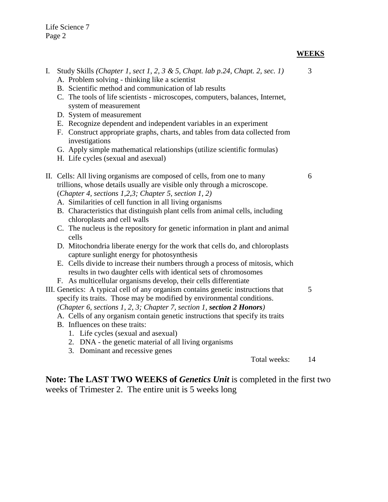## I. Study Skills *(Chapter 1, sect 1, 2, 3 & 5, Chapt. lab p.24, Chapt. 2, sec. 1)* 3 A. Problem solving - thinking like a scientist B. Scientific method and communication of lab results C. The tools of life scientists - microscopes, computers, balances, Internet, system of measurement D. System of measurement E. Recognize dependent and independent variables in an experiment F. Construct appropriate graphs, charts, and tables from data collected from investigations G. Apply simple mathematical relationships (utilize scientific formulas) H. Life cycles (sexual and asexual) II. Cells: All living organisms are composed of cells, from one to many 6 trillions, whose details usually are visible only through a microscope. (*Chapter 4, sections 1,2,3; Chapter 5, section 1, 2)* A. Similarities of cell function in all living organisms B. Characteristics that distinguish plant cells from animal cells, including chloroplasts and cell walls C. The nucleus is the repository for genetic information in plant and animal cells D. Mitochondria liberate energy for the work that cells do, and chloroplasts capture sunlight energy for photosynthesis E. Cells divide to increase their numbers through a process of mitosis, which results in two daughter cells with identical sets of chromosomes F. As multicellular organisms develop, their cells differentiate III. Genetics: A typical cell of any organism contains genetic instructions that 5 specify its traits. Those may be modified by environmental conditions. *(Chapter 6, sections 1, 2, 3; Chapter 7, section 1, section 2 Honors)* A. Cells of any organism contain genetic instructions that specify its traits B. Influences on these traits: 1. Life cycles (sexual and asexual) 2. DNA - the genetic material of all living organisms 3. Dominant and recessive genes Total weeks: 14

**Note: The LAST TWO WEEKS of** *Genetics Unit* is completed in the first two weeks of Trimester 2. The entire unit is 5 weeks long

#### **WEEKS**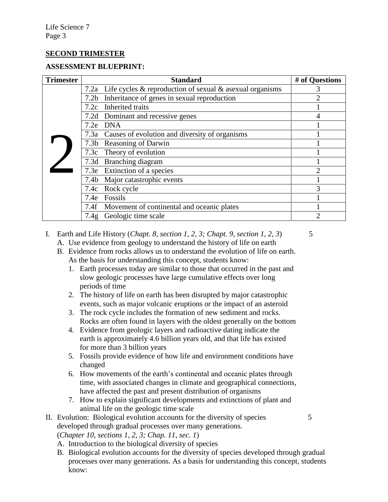#### **SECOND TRIMESTER**

#### **ASSESSMENT BLUEPRINT:**

| <b>Trimester</b> |                  | <b>Standard</b>                                                 | # of Questions |
|------------------|------------------|-----------------------------------------------------------------|----------------|
|                  | 7.2a             | Life cycles $\&$ reproduction of sexual $\&$ as exual organisms |                |
|                  | 7.2 <sub>b</sub> | Inheritance of genes in sexual reproduction                     | $\overline{2}$ |
|                  | 7.2c             | Inherited traits                                                |                |
|                  |                  | 7.2d Dominant and recessive genes                               | 4              |
|                  | 7.2e             | <b>DNA</b>                                                      |                |
|                  |                  | 7.3a Causes of evolution and diversity of organisms             |                |
|                  | 7.3 <sub>b</sub> | <b>Reasoning of Darwin</b>                                      |                |
|                  |                  | 7.3c Theory of evolution                                        |                |
|                  |                  | 7.3d Branching diagram                                          |                |
|                  |                  | 7.3e Extinction of a species                                    | ာ              |
|                  | 7.4 <sub>b</sub> | Major catastrophic events                                       |                |
|                  | 7.4c             | Rock cycle                                                      | 3              |
|                  | 7.4e             | Fossils                                                         |                |
|                  |                  | 7.4f Movement of continental and oceanic plates                 |                |
|                  |                  | 7.4g Geologic time scale                                        | 2              |

- I. Earth and Life History (*Chapt. 8, section 1, 2, 3; Chapt. 9, section 1, 2, 3*) 5
	- A. Use evidence from geology to understand the history of life on earth
	- B. Evidence from rocks allows us to understand the evolution of life on earth. As the basis for understanding this concept, students know:
		- 1. Earth processes today are similar to those that occurred in the past and slow geologic processes have large cumulative effects over long periods of time
		- 2. The history of life on earth has been disrupted by major catastrophic events, such as major volcanic eruptions or the impact of an asteroid
		- 3. The rock cycle includes the formation of new sediment and rocks. Rocks are often found in layers with the oldest generally on the bottom
		- 4. Evidence from geologic layers and radioactive dating indicate the earth is approximately 4.6 billion years old, and that life has existed for more than 3 billion years
		- 5. Fossils provide evidence of how life and environment conditions have changed
		- 6. How movements of the earth's continental and oceanic plates through time, with associated changes in climate and geographical connections, have affected the past and present distribution of organisms
		- 7. How to explain significant developments and extinctions of plant and animal life on the geologic time scale
- II. Evolution: Biological evolution accounts for the diversity of species 5 developed through gradual processes over many generations. (*Chapter 10, sections 1, 2, 3; Chap. 11, sec. 1*)
	- A. Introduction to the biological diversity of species
	- B. Biological evolution accounts for the diversity of species developed through gradual processes over many generations. As a basis for understanding this concept, students know: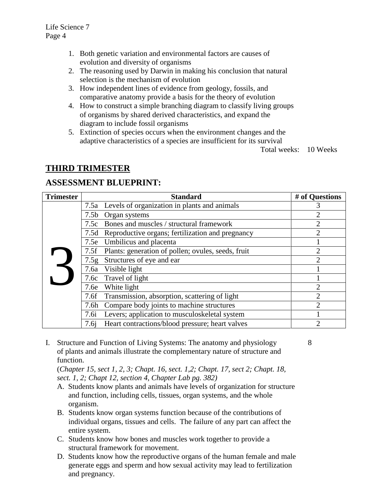- 1. Both genetic variation and environmental factors are causes of evolution and diversity of organisms
- 2. The reasoning used by Darwin in making his conclusion that natural selection is the mechanism of evolution
- 3. How independent lines of evidence from geology, fossils, and comparative anatomy provide a basis for the theory of evolution
- 4. How to construct a simple branching diagram to classify living groups of organisms by shared derived characteristics, and expand the diagram to include fossil organisms
- 5. Extinction of species occurs when the environment changes and the adaptive characteristics of a species are insufficient for its survival

Total weeks: 10 Weeks

# **THIRD TRIMESTER**

# **ASSESSMENT BLUEPRINT:**

| <b>Trimester</b> |                  | <b>Standard</b>                                    | # of Questions              |
|------------------|------------------|----------------------------------------------------|-----------------------------|
|                  |                  | 7.5a Levels of organization in plants and animals  |                             |
|                  | 7.5 <sub>b</sub> | Organ systems                                      | 2                           |
|                  | 7.5c             | Bones and muscles / structural framework           |                             |
|                  | 7.5d             | Reproductive organs; fertilization and pregnancy   | 2                           |
|                  | 7.5e             | Umbilicus and placenta                             |                             |
|                  | 7.5f             | Plants: generation of pollen; ovules, seeds, fruit |                             |
|                  | 7.5g             | Structures of eye and ear                          | C                           |
|                  | 7.6a             | Visible light                                      |                             |
|                  | 7.6c             | Travel of light                                    |                             |
|                  | 7.6e             | White light                                        |                             |
|                  | 7.6f             | Transmission, absorption, scattering of light      | $\overline{2}$              |
|                  | 7.6 <sub>h</sub> | Compare body joints to machine structures          | っ                           |
|                  | 7.6i             | Levers; application to musculoskeletal system      |                             |
|                  | 7.6i             | Heart contractions/blood pressure; heart valves    | $\mathcal{D}_{\mathcal{A}}$ |

I. Structure and Function of Living Systems: The anatomy and physiology 8 of plants and animals illustrate the complementary nature of structure and function.

(*Chapter 15, sect 1, 2, 3; Chapt. 16, sect. 1,2; Chapt. 17, sect 2; Chapt. 18, sect. 1, 2; Chapt 12, section 4, Chapter Lab pg. 382)*

- A. Students know plants and animals have levels of organization for structure and function, including cells, tissues, organ systems, and the whole organism.
- B. Students know organ systems function because of the contributions of individual organs, tissues and cells. The failure of any part can affect the entire system.
- C. Students know how bones and muscles work together to provide a structural framework for movement.
- D. Students know how the reproductive organs of the human female and male generate eggs and sperm and how sexual activity may lead to fertilization and pregnancy.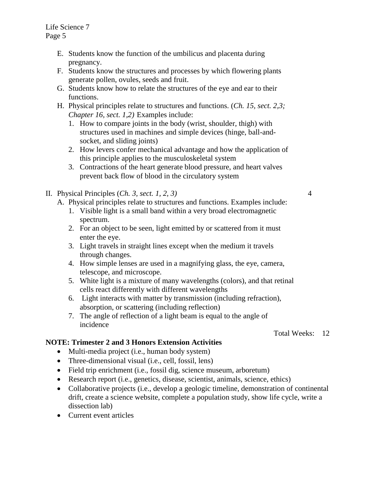- E. Students know the function of the umbilicus and placenta during pregnancy.
- F. Students know the structures and processes by which flowering plants generate pollen, ovules, seeds and fruit.
- G. Students know how to relate the structures of the eye and ear to their functions.
- H. Physical principles relate to structures and functions. (*Ch. 15, sect. 2,3; Chapter 16, sect. 1,2)* Examples include:
	- 1. How to compare joints in the body (wrist, shoulder, thigh) with structures used in machines and simple devices (hinge, ball-andsocket, and sliding joints)
	- 2. How levers confer mechanical advantage and how the application of this principle applies to the musculoskeletal system
	- 3. Contractions of the heart generate blood pressure, and heart valves prevent back flow of blood in the circulatory system
- II. Physical Principles (*Ch. 3, sect. 1, 2, 3)* 4
	- A. Physical principles relate to structures and functions. Examples include:
		- 1. Visible light is a small band within a very broad electromagnetic spectrum.
		- 2. For an object to be seen, light emitted by or scattered from it must enter the eye.
		- 3. Light travels in straight lines except when the medium it travels through changes.
		- 4. How simple lenses are used in a magnifying glass, the eye, camera, telescope, and microscope.
		- 5. White light is a mixture of many wavelengths (colors), and that retinal cells react differently with different wavelengths
		- 6. Light interacts with matter by transmission (including refraction), absorption, or scattering (including reflection)
		- 7. The angle of reflection of a light beam is equal to the angle of incidence

#### Total Weeks: 12

#### **NOTE: Trimester 2 and 3 Honors Extension Activities**

- Multi-media project (i.e., human body system)
- Three-dimensional visual (i.e., cell, fossil, lens)
- Field trip enrichment (i.e., fossil dig, science museum, arboretum)
- Research report (i.e., genetics, disease, scientist, animals, science, ethics)
- Collaborative projects (i.e., develop a geologic timeline, demonstration of continental drift, create a science website, complete a population study, show life cycle, write a dissection lab)
- Current event articles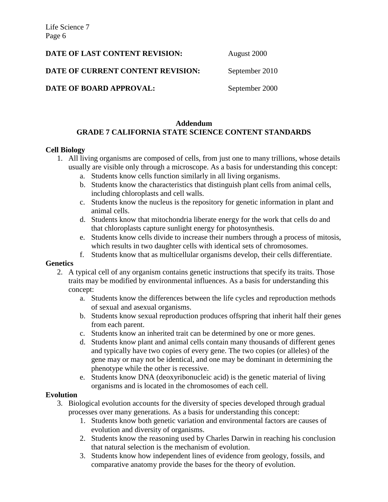| DATE OF LAST CONTENT REVISION:    | August 2000    |
|-----------------------------------|----------------|
| DATE OF CURRENT CONTENT REVISION: | September 2010 |
| DATE OF BOARD APPROVAL:           | September 2000 |

#### **Addendum GRADE 7 CALIFORNIA STATE SCIENCE CONTENT STANDARDS**

#### **Cell Biology**

- 1. All living organisms are composed of cells, from just one to many trillions, whose details usually are visible only through a microscope. As a basis for understanding this concept:
	- a. Students know cells function similarly in all living organisms.
	- b. Students know the characteristics that distinguish plant cells from animal cells, including chloroplasts and cell walls.
	- c. Students know the nucleus is the repository for genetic information in plant and animal cells.
	- d. Students know that mitochondria liberate energy for the work that cells do and that chloroplasts capture sunlight energy for photosynthesis.
	- e. Students know cells divide to increase their numbers through a process of mitosis, which results in two daughter cells with identical sets of chromosomes.
	- f. Students know that as multicellular organisms develop, their cells differentiate.

#### **Genetics**

- 2. A typical cell of any organism contains genetic instructions that specify its traits. Those traits may be modified by environmental influences. As a basis for understanding this concept:
	- a. Students know the differences between the life cycles and reproduction methods of sexual and asexual organisms.
	- b. Students know sexual reproduction produces offspring that inherit half their genes from each parent.
	- c. Students know an inherited trait can be determined by one or more genes.
	- d. Students kno*w* plant and animal cells contain many thousands of different genes and typically have two copies of every gene. The two copies (or alleles) of the gene may or may not be identical, and one may be dominant in determining the phenotype while the other is recessive.
	- e. Students know DNA (deoxyribonucleic acid) is the genetic material of living organisms and is located in the chromosomes of each cell.

#### **Evolution**

- 3. Biological evolution accounts for the diversity of species developed through gradual processes over many generations. As a basis for understanding this concept:
	- 1. Students know both genetic variation and environmental factors are causes of evolution and diversity of organisms.
	- 2. Students know the reasoning used by Charles Darwin in reaching his conclusion that natural selection is the mechanism of evolution.
	- 3. Students know how independent lines of evidence from geology, fossils, and comparative anatomy provide the bases for the theory of evolution.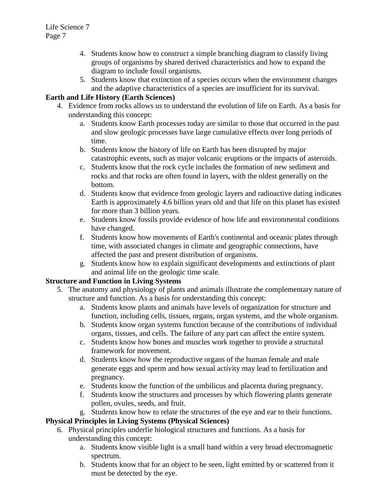- 4. Students know how to construct a simple branching diagram to classify living groups of organisms by shared derived characteristics and how to expand the diagram to include fossil organisms.
- 5. Students know that extinction of a species occurs when the environment changes and the adaptive characteristics of a species are insufficient for its survival.

### **Earth and Life History (Earth Sciences)**

- 4. Evidence from rocks allows us to understand the evolution of life on Earth. As a basis for understanding this concept:
	- a. Students know Earth processes today are similar to those that occurred in the past and slow geologic processes have large cumulative effects over long periods of time.
	- b. Students know the history of life on Earth has been disrupted by major catastrophic events, such as major volcanic eruptions or the impacts of asteroids.
	- c. Students know that the rock cycle includes the formation of new sediment and rocks and that rocks are often found in layers, with the oldest generally on the bottom.
	- d. Students know that evidence from geologic layers and radioactive dating indicates Earth is approximately 4.6 billion years old and that life on this planet has existed for more than 3 billion years.
	- e. Students know fossils provide evidence of how life and environmental conditions have changed.
	- f. Students know how movements of Earth's continental and oceanic plates through time, with associated changes in climate and geographic connections, have affected the past and present distribution of organisms.
	- g. Students know how to explain significant developments and extinctions of plant and animal life on the geologic time scale.

#### **Structure and Function in Living Systems**

- 5. The anatomy and physiology of plants and animals illustrate the complementary nature of structure and function. As a basis for understanding this concept:
	- a. Students know plants and animals have levels of organization for structure and function, including cells, tissues, organs, organ systems, and the whole organism.
	- b. Students know organ systems function because of the contributions of individual organs, tissues, and cells. The failure of any part can affect the entire system.
	- c. Students know how bones and muscles work together to provide a structural framework for movement.
	- d. Students know how the reproductive organs of the human female and male generate eggs and sperm and how sexual activity may lead to fertilization and pregnancy.
	- e. Students know the function of the umbilicus and placenta during pregnancy.
	- f. Students know the structures and processes by which flowering plants generate pollen, ovules, seeds, and fruit.
	- g. Students know how to relate the structures of the eye and ear to their functions.

## **Physical Principles in Living Systems (Physical Sciences)**

- 6. Physical principles underlie biological structures and functions. As a basis for understanding this concept:
	- a. Students know visible light is a small band within a very broad electromagnetic spectrum.
	- b. Students know that for an object to be seen, light emitted by or scattered from it must be detected by the eye.